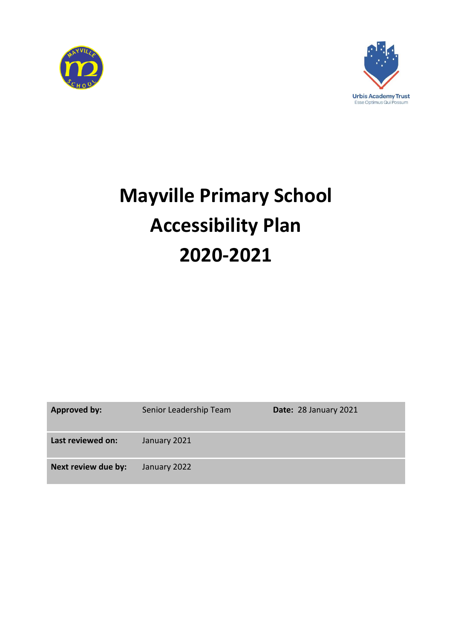



# **Mayville Primary School Accessibility Plan 2020-2021**

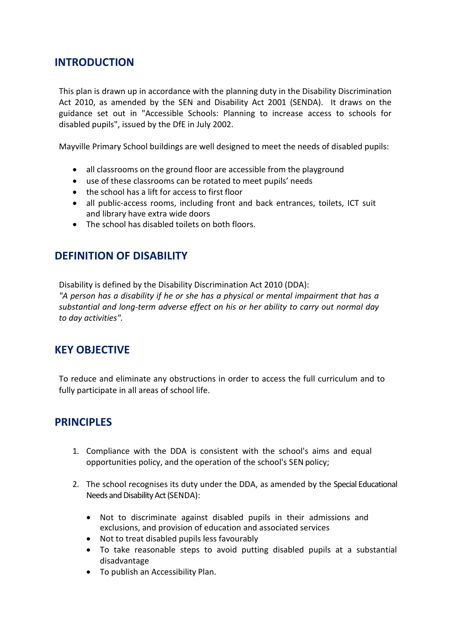## **INTRODUCTION**

This plan is drawn up in accordance with the planning duty in the Disability Discrimination Act 2010, as amended by the SEN and Disability Act 2001 (SENDA). It draws on the guidance set out in "Accessible Schools: Planning to increase access to schools for disabled pupils", issued by the DfE in July 2002.

Mayville Primary School buildings are well designed to meet the needs of disabled pupils:

- all classrooms on the ground floor are accessible from the playground
- use of these classrooms can be rotated to meet pupils' needs
- the school has a lift for access to first floor
- all public-access rooms, including front and back entrances, toilets, ICT suit and library have extra wide doors
- The school has disabled toilets on both floors.

# **DEFINITION OF DISABILITY**

Disability is defined by the Disability Discrimination Act 2010 (DDA):

*"A person has a disability if he or she has a physical or mental impairment that has a substantial and long-term adverse effect on his or her ability to carry out normal day to day activities".*

# **KEY OBJECTIVE**

To reduce and eliminate any obstructions in order to access the full curriculum and to fully participate in all areas of school life.

# **PRINCIPLES**

- 1. Compliance with the DDA is consistent with the school's aims and equal opportunities policy, and the operation of the school's SEN policy;
- 2. The school recognises its duty under the DDA, as amended by the Special Educational Needs and Disability Act (SENDA):
	- Not to discriminate against disabled pupils in their admissions and exclusions, and provision of education and associated services
	- Not to treat disabled pupils less favourably
	- To take reasonable steps to avoid putting disabled pupils at a substantial disadvantage
	- To publish an Accessibility Plan.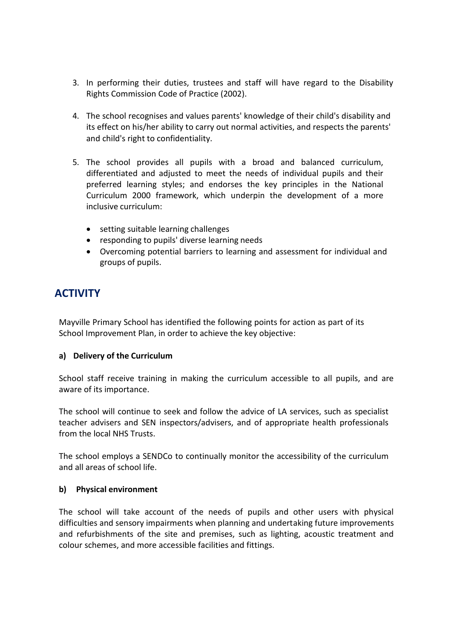- 3. In performing their duties, trustees and staff will have regard to the Disability Rights Commission Code of Practice (2002).
- 4. The school recognises and values parents' knowledge of their child's disability and its effect on his/her ability to carry out normal activities, and respects the parents' and child's right to confidentiality.
- 5. The school provides all pupils with a broad and balanced curriculum, differentiated and adjusted to meet the needs of individual pupils and their preferred learning styles; and endorses the key principles in the National Curriculum 2000 framework, which underpin the development of a more inclusive curriculum:
	- setting suitable learning challenges
	- responding to pupils' diverse learning needs
	- Overcoming potential barriers to learning and assessment for individual and groups of pupils.

# **ACTIVITY**

Mayville Primary School has identified the following points for action as part of its School Improvement Plan, in order to achieve the key objective:

## **a) Delivery of the Curriculum**

School staff receive training in making the curriculum accessible to all pupils, and are aware of its importance.

The school will continue to seek and follow the advice of LA services, such as specialist teacher advisers and SEN inspectors/advisers, and of appropriate health professionals from the local NHS Trusts.

The school employs a SENDCo to continually monitor the accessibility of the curriculum and all areas of school life.

### **b) Physical environment**

The school will take account of the needs of pupils and other users with physical difficulties and sensory impairments when planning and undertaking future improvements and refurbishments of the site and premises, such as lighting, acoustic treatment and colour schemes, and more accessible facilities and fittings.